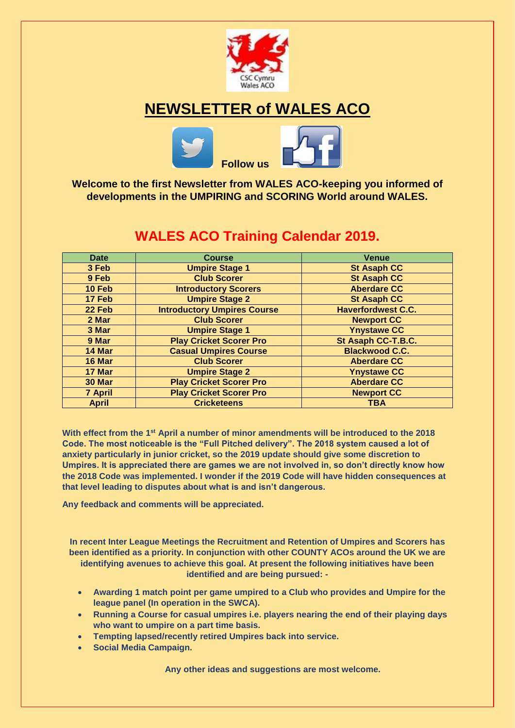

# **NEWSLETTER of WALES ACO**



**Welcome to the first Newsletter from WALES ACO-keeping you informed of developments in the UMPIRING and SCORING World around WALES.**

## **WALES ACO Training Calendar 2019.**

| <b>Date</b>    | <b>Course</b>                                       | <b>Venue</b>              |  |
|----------------|-----------------------------------------------------|---------------------------|--|
| 3 Feb          | <b>Umpire Stage 1</b>                               | <b>St Asaph CC</b>        |  |
| 9 Feb          | <b>Club Scorer</b>                                  | <b>St Asaph CC</b>        |  |
| 10 Feb         | <b>Introductory Scorers</b>                         | <b>Aberdare CC</b>        |  |
| 17 Feb         | <b>Umpire Stage 2</b>                               | <b>St Asaph CC</b>        |  |
| 22 Feb         | <b>Introductory Umpires Course</b>                  | <b>Haverfordwest C.C.</b> |  |
| 2 Mar          | <b>Club Scorer</b>                                  | <b>Newport CC</b>         |  |
| 3 Mar          | <b>Umpire Stage 1</b>                               | <b>Ynystawe CC</b>        |  |
| 9 Mar          | <b>Play Cricket Scorer Pro</b>                      | St Asaph CC-T.B.C.        |  |
| 14 Mar         | <b>Casual Umpires Course</b>                        | <b>Blackwood C.C.</b>     |  |
| 16 Mar         | <b>Club Scorer</b>                                  | <b>Aberdare CC</b>        |  |
| 17 Mar         | <b>Umpire Stage 2</b>                               | <b>Ynystawe CC</b>        |  |
| 30 Mar         | <b>Play Cricket Scorer Pro</b>                      | <b>Aberdare CC</b>        |  |
| <b>7 April</b> | <b>Play Cricket Scorer Pro</b><br><b>Newport CC</b> |                           |  |
| <b>April</b>   | <b>Cricketeens</b>                                  | <b>TBA</b>                |  |

**With effect from the 1st April a number of minor amendments will be introduced to the 2018 Code. The most noticeable is the "Full Pitched delivery". The 2018 system caused a lot of anxiety particularly in junior cricket, so the 2019 update should give some discretion to Umpires. It is appreciated there are games we are not involved in, so don't directly know how the 2018 Code was implemented. I wonder if the 2019 Code will have hidden consequences at that level leading to disputes about what is and isn't dangerous.**

**Any feedback and comments will be appreciated.**

**In recent Inter League Meetings the Recruitment and Retention of Umpires and Scorers has been identified as a priority. In conjunction with other COUNTY ACOs around the UK we are identifying avenues to achieve this goal. At present the following initiatives have been identified and are being pursued: -**

- **Awarding 1 match point per game umpired to a Club who provides and Umpire for the league panel (In operation in the SWCA).**
- **Running a Course for casual umpires i.e. players nearing the end of their playing days who want to umpire on a part time basis.**
- **Tempting lapsed/recently retired Umpires back into service.**
- **Social Media Campaign.**

**Any other ideas and suggestions are most welcome.**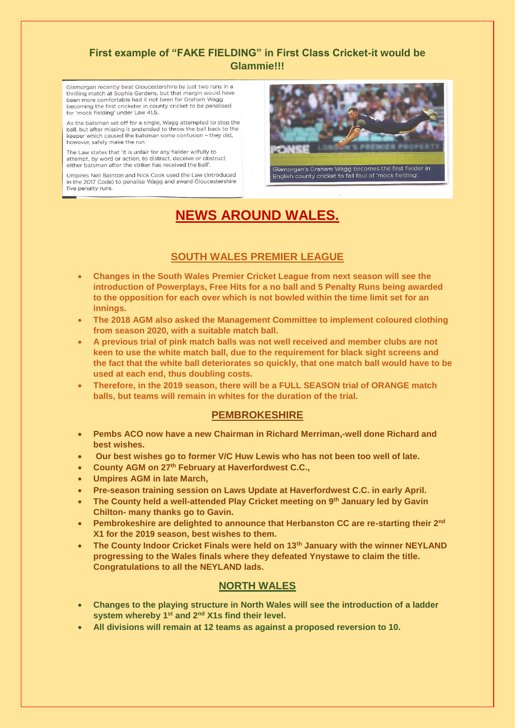### **First example of "FAKE FIELDING" in First Class Cricket-it would be Glammie!!!**

Glamorgan recently beat Gloucestershire by just two runs in a thrilling match at Sophia Gardens, but that margin would have been more comfortable had it not been for Graham Wagg becoming the first cricketer in county cricket to be penalised for 'mock fielding' under Law 41.5.

As the batsman set off for a single. Wagg attempted to stop the ball, but after missing it pretended to throw the ball back to the keeper which caused the batsman some confusion - they did, however, safely make the run.

The Law states that 'it is unfair for any fielder wilfully to attempt, by word or action, to distract, deceive or obstruct either batsman after the striker has received the ball'

Umpires Neil Bainton and Nick Cook used the Law (introduced in the 2017 Code) to penalise Wagg and award Gloucestershire five penalty runs



# **NEWS AROUND WALES.**

### **SOUTH WALES PREMIER LEAGUE**

- **Changes in the South Wales Premier Cricket League from next season will see the introduction of Powerplays, Free Hits for a no ball and 5 Penalty Runs being awarded to the opposition for each over which is not bowled within the time limit set for an innings.**
- **The 2018 AGM also asked the Management Committee to implement coloured clothing from season 2020, with a suitable match ball.**
- **A previous trial of pink match balls was not well received and member clubs are not keen to use the white match ball, due to the requirement for black sight screens and the fact that the white ball deteriorates so quickly, that one match ball would have to be used at each end, thus doubling costs.**
- **Therefore, in the 2019 season, there will be a FULL SEASON trial of ORANGE match balls, but teams will remain in whites for the duration of the trial.**

#### **PEMBROKESHIRE**

- **Pembs ACO now have a new Chairman in Richard Merriman,-well done Richard and best wishes.**
- **Our best wishes go to former V/C Huw Lewis who has not been too well of late.**
- **County AGM on 27th February at Haverfordwest C.C.,**
- **Umpires AGM in late March,**
- **Pre-season training session on Laws Update at Haverfordwest C.C. in early April.**
- **The County held a well-attended Play Cricket meeting on 9th January led by Gavin Chilton- many thanks go to Gavin.**
- **Pembrokeshire are delighted to announce that Herbanston CC are re-starting their 2nd X1 for the 2019 season, best wishes to them.**
- **The County Indoor Cricket Finals were held on 13th January with the winner NEYLAND progressing to the Wales finals where they defeated Ynystawe to claim the title. Congratulations to all the NEYLAND lads.**

#### **NORTH WALES**

- **Changes to the playing structure in North Wales will see the introduction of a ladder system whereby 1st and 2nd X1s find their level.**
- **All divisions will remain at 12 teams as against a proposed reversion to 10.**